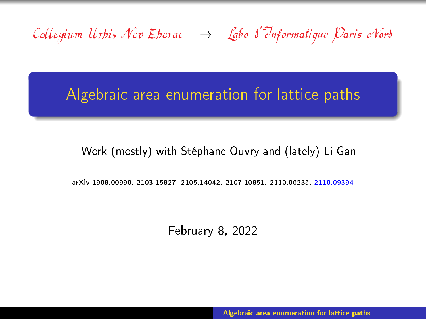<span id="page-0-0"></span>Collegium Urbis Nov Eborac  $\rightarrow$  Labo S'Informatique Paris Nord

# Algebraic area enumeration for lattice paths

## Work (mostly) with Stéphane Ouvry and (lately) Li Gan

arXiv:1908.00990, 2103.15827, 2105.14042, 2107.10851, 2110.06235, 2110.09394

February 8, 2022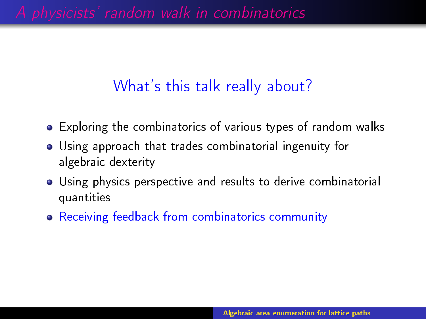A physicists' random walk in combinatorics

# What's this talk really about?

- Exploring the combinatorics of various types of random walks
- Using approach that trades combinatorial ingenuity for algebraic dexterity
- Using physics perspective and results to derive combinatorial quantities
- Receiving feedback from combinatorics community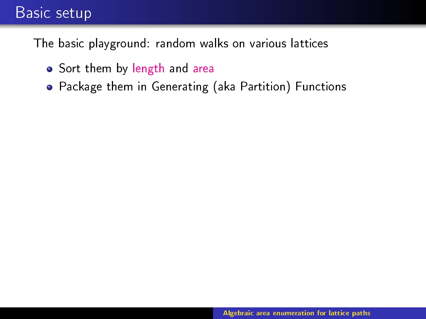## Basic setup

The basic playground: random walks on various lattices

- **Sort them by length and area**
- Package them in Generating (aka Partition) Functions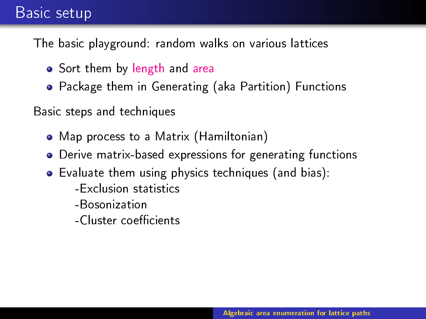## Basic setup

The basic playground: random walks on various lattices

- Sort them by length and area
- Package them in Generating (aka Partition) Functions

Basic steps and techniques

- Map process to a Matrix (Hamiltonian)
- Derive matrix-based expressions for generating functions
- Evaluate them using physics techniques (and bias):
	- -Exclusion statistics
	- -Bosonization
	- -Cluster coecients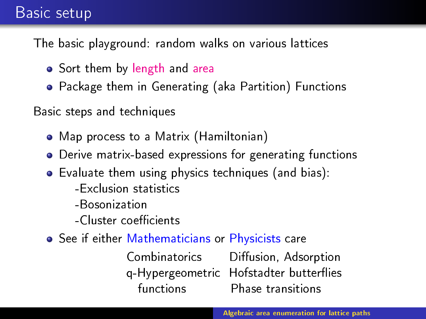## Basic setup

The basic playground: random walks on various lattices

- Sort them by length and area
- Package them in Generating (aka Partition) Functions

Basic steps and techniques

- Map process to a Matrix (Hamiltonian)
- Derive matrix-based expressions for generating functions
- Evaluate them using physics techniques (and bias):
	- -Exclusion statistics
	- -Bosonization
	- -Cluster coecients
- See if either Mathematicians or Physicists care

Combinatorics Diffusion, Adsorption q-Hypergeometric Hofstadter butteries functions Phase transitions

**Algebraic area enumeration for lattice paths area enumeration for lattice paths**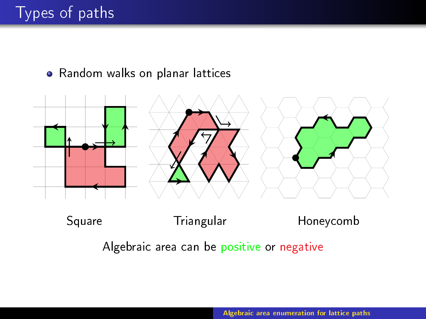# Types of paths

Random walks on planar lattices



## Square Triangular Honeycomb

Algebraic area can be positive or negative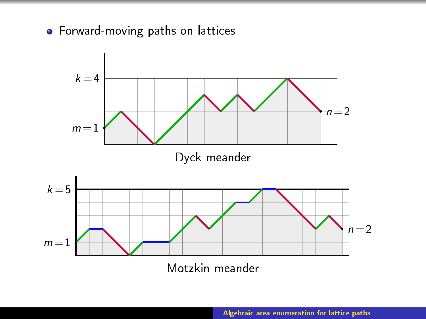Forward-moving paths on lattices

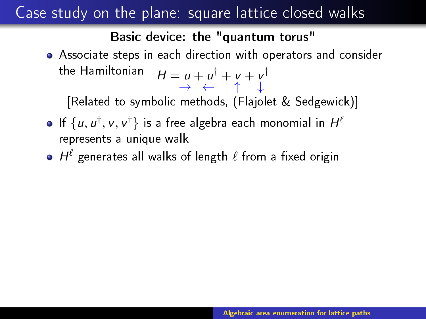# Case study on the plane: square lattice closed walks

### Basic device: the "quantum torus"

Associate steps in each direction with operators and consider the Hamiltonian  $\quad H = u + u^\dagger + v + v^\dagger$ → ← ↑ ↓

[Related to symbolic methods, (Flajolet & Sedgewick)]

- If  $\{u, u^{\dagger}, v, v^{\dagger}\}$  is a free algebra each monomial in  $H^{\ell}$ represents a unique walk
- $H^{\ell}$  generates all walks of length  $\ell$  from a fixed origin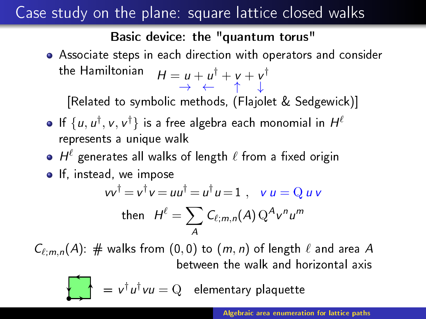# Case study on the plane: square lattice closed walks

### Basic device: the "quantum torus"

Associate steps in each direction with operators and consider the Hamiltonian  $\quad H = u + u^\dagger + v + v^\dagger$ → ← ↑ ↓

[Related to symbolic methods, (Flajolet & Sedgewick)]

- If  $\{u, u^{\dagger}, v, v^{\dagger}\}$  is a free algebra each monomial in  $H^{\ell}$ represents a unique walk
- $H^{\ell}$  generates all walks of length  $\ell$  from a fixed origin
- **o** If, instead, we impose  $vv^{\dagger} = v^{\dagger}v = uu^{\dagger} = u^{\dagger}u = 1$ ,  $v u = Q u v$ then  $H^\ell = \sum \mathit{C}_{\ell; m,n}(A) \, \mathrm{Q}^A \mathsf{v}^n \mathsf{u}^m$

 $C_{\ell;m,n}(A)$ : # walks from  $(0,0)$  to  $(m,n)$  of length  $\ell$  and area A between the walk and horizontal axis

A

$$
\mathbf{v}^{\dagger}u^{\dagger}vu = Q \quad \text{elementary plaquette}
$$

**Algebraic area enumeration for lattice paths area enumeration for lattice paths**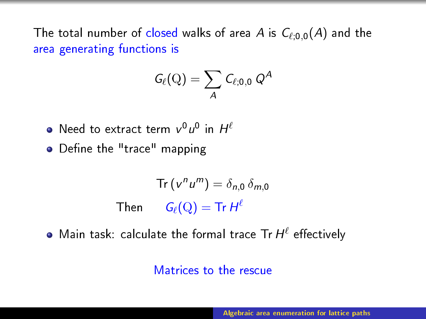The total number of closed walks of area A is  $C_{\ell;0,0}(A)$  and the area generating functions is

$$
\textit{G}_{\ell}(\mathrm{Q})=\sum_{\textit{A}}\textit{C}_{\ell;0,0}\textit{Q}^{\textit{A}}
$$

- Need to extract term  $v^0u^0$  in  $H^{\ell}$
- Define the "trace" mapping

$$
\operatorname{Tr}\left(v^{n}u^{m}\right) = \delta_{n,0} \,\delta_{m,0}
$$
\n
$$
\operatorname{Then} \qquad G_{\ell}(\mathrm{Q}) = \operatorname{Tr} H^{\ell}
$$

Main task: calculate the formal trace  $\text{Tr} H^\ell$  effectively

### Matrices to the rescue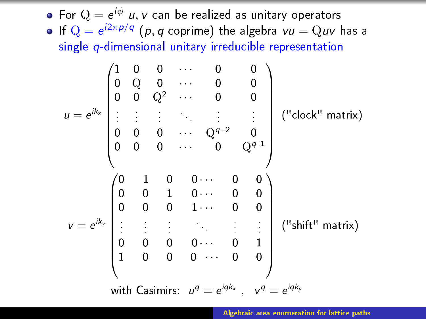For  $Q = e^{i\phi}$  u, v can be realized as unitary operators If  $Q = e^{i2\pi p/q}$   $(p, q \text{ coprime})$  the algebra  $vu = Quv$  has a single q-dimensional unitary irreducible representation

$$
u = e^{ik_x} \begin{pmatrix} 1 & 0 & 0 & \cdots & 0 & 0 \\ 0 & Q & 0 & \cdots & 0 & 0 \\ 0 & 0 & Q^2 & \cdots & 0 & 0 \\ \vdots & \vdots & \vdots & \ddots & \vdots & \vdots \\ 0 & 0 & 0 & \cdots & Q^{q-2} & 0 \\ 0 & 0 & 0 & \cdots & 0 & Q^{q-1} \\ 0 & 0 & 1 & 0 & \cdots & 0 & 0 \\ 0 & 0 & 0 & 1 & \cdots & 0 & 0 \\ \vdots & \vdots & \vdots & \ddots & \vdots & \vdots & \vdots \\ 0 & 0 & 0 & 0 & \cdots & 0 & 1 \\ 1 & 0 & 0 & 0 & \cdots & 0 & 0 \\ \end{pmatrix} \quad (\text{''shift'' matrix})
$$
\nwith Casimirs:  $u^q = e^{iqk_x}$ ,  $v^q = e^{iqk_y}$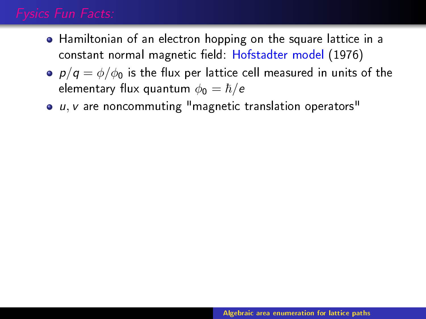- Hamiltonian of an electron hopping on the square lattice in a constant normal magnetic field: Hofstadter model (1976)
- $p/q = \phi/\phi_0$  is the flux per lattice cell measured in units of the elementary flux quantum  $\phi_0 = \hbar/e$
- $\bullet$   $u, v$  are noncommuting "magnetic translation operators"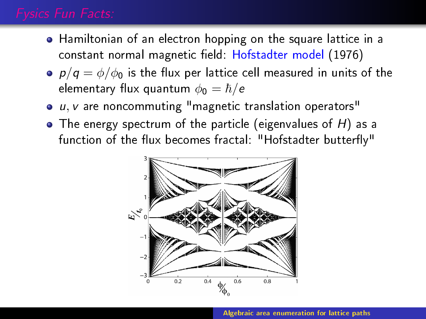- Hamiltonian of an electron hopping on the square lattice in a constant normal magnetic field: Hofstadter model (1976)
- $p/q = \phi/\phi_0$  is the flux per lattice cell measured in units of the elementary flux quantum  $\phi_0 = \hbar/e$
- u, v are noncommuting "magnetic translation operators"
- $\bullet$  The energy spectrum of the particle (eigenvalues of H) as a function of the flux becomes fractal: "Hofstadter butterfly"

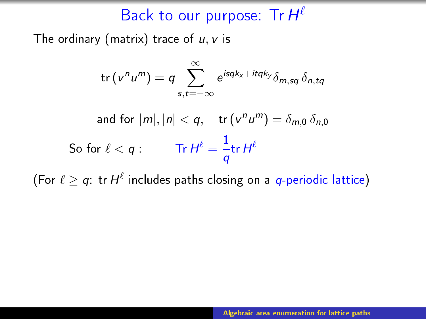# Back to our purpose: Tr  $H^{\ell}$

The ordinary (matrix) trace of  $u, v$  is

$$
\text{tr}\left(v^n u^m\right) = q \sum_{s,t=-\infty}^{\infty} e^{i s q k_x + it q k_y} \delta_{m,sq} \, \delta_{n,tq}
$$

and for  $|m|, |n| < q$ , tr $(v^n u^m) = \delta_{m,0} \delta_{n,0}$ So for  $\ell < q:$  Tr  $H^\ell = \frac{1}{q}$  $\frac{1}{q}$ tr H $^\ell$ 

(For  $\ell \geq q$ : tr $H^{\ell}$  includes paths closing on a  $q$ -periodic lattice)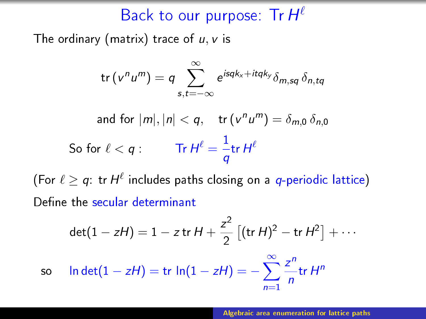# Back to our purpose: Tr  $H^{\ell}$

The ordinary (matrix) trace of  $u, v$  is

$$
\text{tr}\left(v^n u^m\right) = q \sum_{s,t=-\infty}^{\infty} e^{i s q k_x + it q k_y} \delta_{m,sq} \, \delta_{n,tq}
$$

$$
\text{and for } |m|, |n| < q, \quad \text{tr}\left(v^n u^m\right) = \delta_{m,0} \, \delta_{n,0}
$$
\n
$$
\text{So for } \ell < q: \qquad \text{Tr}\, H^\ell = \frac{1}{q} \text{tr}\, H^\ell
$$

(For  $\ell \geq q$ : tr $H^{\ell}$  includes paths closing on a  $q$ -periodic lattice) Define the secular determinant

$$
\det(1 - zH) = 1 - z \operatorname{tr} H + \frac{z^2}{2} \left[ (\operatorname{tr} H)^2 - \operatorname{tr} H^2 \right] + \cdots
$$
  
so  $\ln \det(1 - zH) = \operatorname{tr} \ln(1 - zH) = -\sum_{n=1}^{\infty} \frac{z^n}{n} \operatorname{tr} H^n$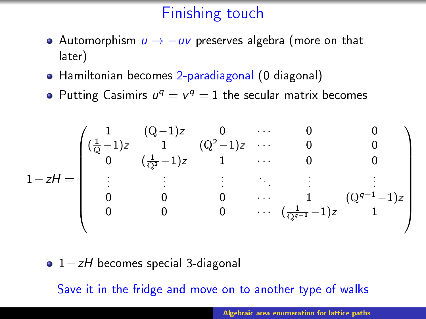# Finishing touch

- Automorphism  $u \rightarrow -uv$  preserves algebra (more on that later)
- Hamiltonian becomes 2-paradiagonal (0 diagonal)
- Putting Casimirs  $u^q = v^q = 1$  the secular matrix becomes

$$
1 - zH = \begin{pmatrix} 1 & (Q-1)z & 0 & \cdots & 0 & 0 \\ (\frac{1}{Q}-1)z & 1 & (Q^2-1)z & \cdots & 0 & 0 \\ 0 & (\frac{1}{Q^2}-1)z & 1 & \cdots & 0 & 0 \\ \vdots & \vdots & \vdots & \ddots & \vdots & \vdots \\ 0 & 0 & 0 & \cdots & 1 & (Q^{q-1}-1)z \\ 0 & 0 & 0 & \cdots & (\frac{1}{Q^{q-1}}-1)z & 1 \end{pmatrix}
$$

• 1-zH becomes special 3-diagonal

Save it in the fridge and move on to another type of walks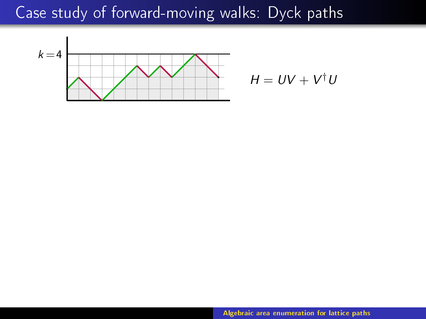# Case study of forward-moving walks: Dyck paths



$$
H = UV + V^{\dagger}U
$$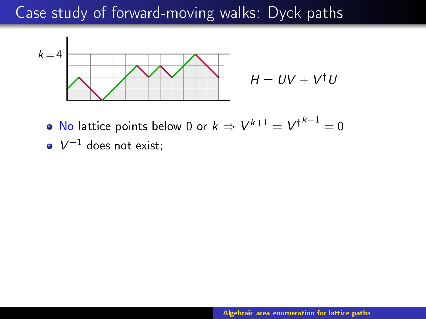# Case study of forward-moving walks: Dyck paths



No lattice points below 0 or  $k \Rightarrow V^{k+1} = V^{\dagger^{k+1}} = 0$ 

 $V^{-1}$  does not exist;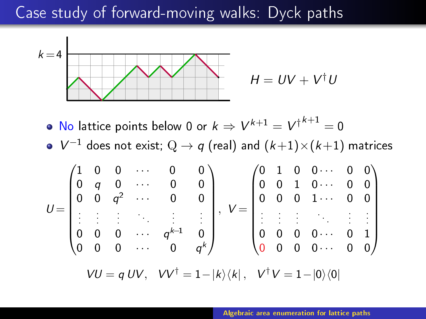## Case study of forward-moving walks: Dyck paths



$$
H = UV + V^{\dagger}U
$$

No lattice points below 0 or  $k \Rightarrow V^{k+1} = V^{\dagger^{k+1}} = 0$ 

$$
\bullet \ \ V^{-1} \text{ does not exist; } Q \to q \text{ (real) and } (k+1) \times (k+1) \text{ matrices}
$$

$$
U = \begin{pmatrix} 1 & 0 & 0 & \cdots & 0 & 0 \\ 0 & q & 0 & \cdots & 0 & 0 \\ 0 & 0 & q^2 & \cdots & 0 & 0 \\ \vdots & \vdots & \vdots & & \vdots & \vdots \\ 0 & 0 & 0 & \cdots & q^{k-1} & 0 \\ 0 & 0 & 0 & \cdots & 0 & q^k \end{pmatrix}, V = \begin{pmatrix} 0 & 1 & 0 & 0 & \cdots & 0 & 0 \\ 0 & 0 & 1 & 0 & \cdots & 0 & 0 \\ 0 & 0 & 0 & 1 & \cdots & 0 & 0 \\ \vdots & \vdots & \vdots & & & \vdots & \vdots \\ 0 & 0 & 0 & 0 & \cdots & 0 & 1 \\ 0 & 0 & 0 & 0 & \cdots & 0 & 0 \end{pmatrix}
$$

$$
VU = qUV, \quad VV^{\dagger} = 1 - |k\rangle\langle k|, \quad V^{\dagger}V = 1 - |0\rangle\langle 0|
$$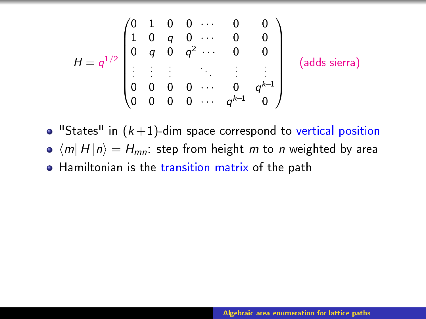$$
H = q^{1/2} \begin{pmatrix} 0 & 1 & 0 & 0 & \cdots & 0 & 0 \\ 1 & 0 & q & 0 & \cdots & 0 & 0 \\ 0 & q & 0 & q^2 & \cdots & 0 & 0 \\ \vdots & \vdots & \vdots & & & & \vdots \\ 0 & 0 & 0 & 0 & \cdots & 0 & q^{k-1} \\ 0 & 0 & 0 & 0 & \cdots & q^{k-1} & 0 \end{pmatrix} \text{ (adds siera)}
$$

 $\bullet$  "States" in  $(k+1)$ -dim space correspond to vertical position

- $\bullet$   $\langle m|$  H  $|n\rangle = H_{mn}$ : step from height m to n weighted by area
- Hamiltonian is the transition matrix of the path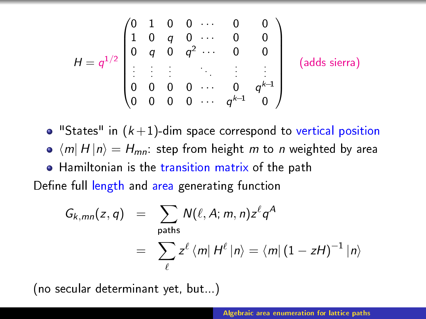$$
H = q^{1/2} \begin{pmatrix} 0 & 1 & 0 & 0 & \cdots & 0 & 0 \\ 1 & 0 & q & 0 & \cdots & 0 & 0 \\ 0 & q & 0 & q^2 & \cdots & 0 & 0 \\ \vdots & \vdots & \vdots & & & \vdots & \vdots \\ 0 & 0 & 0 & 0 & \cdots & 0 & q^{k-1} \\ 0 & 0 & 0 & 0 & \cdots & q^{k-1} & 0 \end{pmatrix} \text{ (adds siera)}
$$

 $\bullet$  "States" in  $(k+1)$ -dim space correspond to vertical position

 $\bullet$   $\langle m|$  H  $|n\rangle = H_{mn}$ : step from height m to n weighted by area

Hamiltonian is the transition matrix of the path

Define full length and area generating function

$$
G_{k,mn}(z,q) = \sum_{\text{paths}} N(\ell, A; m, n) z^{\ell} q^A
$$
  
= 
$$
\sum_{\ell} z^{\ell} \langle m | H^{\ell} | n \rangle = \langle m | (1 - zH)^{-1} | n \rangle
$$

(no secular determinant yet, but...)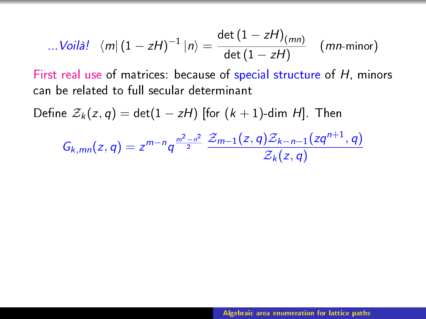...
$$
Vol\hat{a}!
$$
  $\langle m|(1 - zH)^{-1}|n\rangle = \frac{\det(1 - zH)_{(mn)}}{\det(1 - zH)}$  *(mn-minor)*

First real use of matrices: because of special structure of H, minors can be related to full secular determinant

Define  $\mathcal{Z}_k(z,q) = \det(1 - zH)$  [for  $(k+1)$ -dim H]. Then

$$
G_{k,mn}(z,q) = z^{m-n}q^{\frac{m^2-n^2}{2}} \frac{\mathcal{Z}_{m-1}(z,q)\mathcal{Z}_{k-n-1}(zq^{n+1},q)}{\mathcal{Z}_k(z,q)}
$$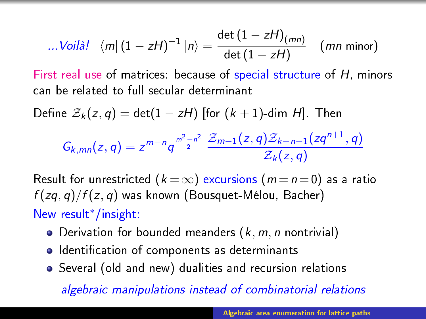...
$$
Vol\hat{a}!
$$
  $\langle m|(1 - zH)^{-1}|n\rangle = \frac{\det(1 - zH)_{(mn)}}{\det(1 - zH)}$  *(mn-minor)*

First real use of matrices: because of special structure of H, minors can be related to full secular determinant

Define  $\mathcal{Z}_k(z,q) = \det(1 - zH)$  [for  $(k + 1)$ -dim H]. Then

$$
G_{k,mn}(z,q) = z^{m-n}q^{\frac{m^2-n^2}{2}} \frac{\mathcal{Z}_{m-1}(z,q)\mathcal{Z}_{k-n-1}(zq^{n+1},q)}{\mathcal{Z}_k(z,q)}
$$

Result for unrestricted  $(k = \infty)$  excursions  $(m = n = 0)$  as a ratio  $f(zq,q)/f(z,q)$  was known (Bousquet-Mélou, Bacher) New result∗/insight:

- Derivation for bounded meanders  $(k, m, n$  nontrivial)
- $\bullet$  Identification of components as determinants
- Several (old and new) dualities and recursion relations

algebraic manipulations instead of combinatorial relations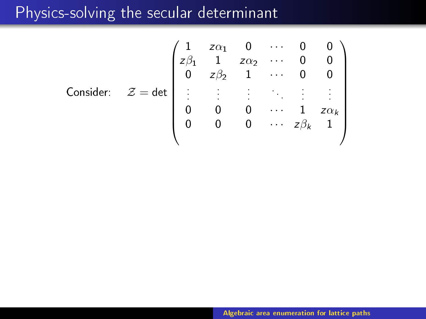# Physics-solving the secular determinant

Consider: 
$$
Z = det \begin{pmatrix} 1 & z\alpha_1 & 0 & \cdots & 0 & 0 \\ z\beta_1 & 1 & z\alpha_2 & \cdots & 0 & 0 \\ 0 & z\beta_2 & 1 & \cdots & 0 & 0 \\ \vdots & \vdots & \vdots & \ddots & \vdots & \vdots \\ 0 & 0 & 0 & \cdots & 1 & z\alpha_k \\ 0 & 0 & 0 & \cdots & z\beta_k & 1 \end{pmatrix}
$$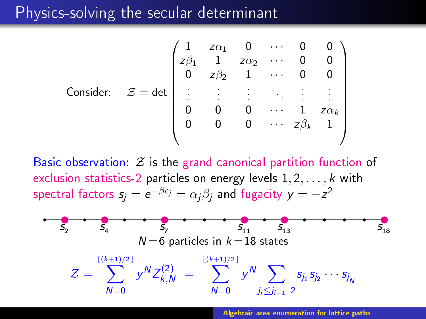## Physics-solving the secular determinant

Consider: 
$$
Z = det \begin{pmatrix} 1 & z\alpha_1 & 0 & \cdots & 0 & 0 \\ z\beta_1 & 1 & z\alpha_2 & \cdots & 0 & 0 \\ 0 & z\beta_2 & 1 & \cdots & 0 & 0 \\ \vdots & \vdots & \vdots & \ddots & \vdots & \vdots \\ 0 & 0 & 0 & \cdots & 1 & z\alpha_k \\ 0 & 0 & 0 & \cdots & z\beta_k & 1 \end{pmatrix}
$$

Basic observation:  $Z$  is the grand canonical partition function of exclusion statistics-2 particles on energy levels  $1, 2, \ldots, k$  with spectral factors  $\pmb{s}_j = \pmb{e}^{-\beta \pmb{\epsilon}_j} = \alpha_j \beta_j$  and fugacity  $\pmb{y} = -\pmb{z}^2$ 

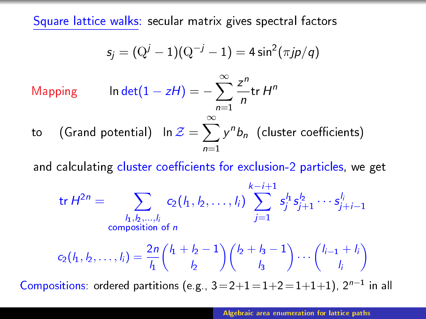Square lattice walks: secular matrix gives spectral factors

$$
s_j = (Q^j - 1)(Q^{-j} - 1) = 4\sin^2(\pi j p/q)
$$

Mapping ln det $(1 - zH) = -\sum^{\infty}$  $n=1$ z n  $\frac{1}{n}$ tr H<sup>n</sup>

to  $\quad$  (Grand potential)  $\;$  In  $\mathcal{Z}=\sum^{\infty}$  $n=1$  $y^n b_n$  (cluster coefficients)

and calculating cluster coefficients for exclusion-2 particles, we get

$$
\text{tr } H^{2n} = \sum_{\substack{l_1, l_2, \dots, l_i \\ \text{composition of } n}} c_2(l_1, l_2, \dots, l_i) \sum_{j=1}^{k-i+1} s_j^{l_1} s_{j+1}^{l_2} \dots s_{j+i-1}^{l_i}
$$

$$
c_2(l_1, l_2, \dots, l_i) = \frac{2n}{l_1} {l_1 + l_2 - 1 \choose l_2} {l_2 + l_3 - 1 \choose l_3} \dots {l_{i-1} + l_i \choose l_i}
$$

Compositions: ordered partitions (e.g.,  $3=2+1=1+2=1+1+1$ ),  $2^{n-1}$  in all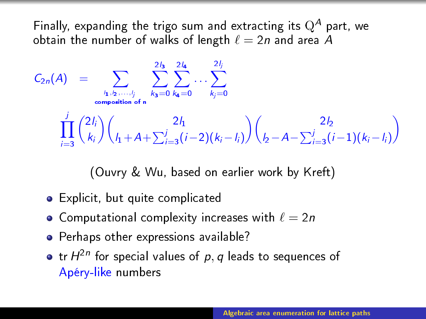Finally, expanding the trigo sum and extracting its  $Q^A$  part, we obtain the number of walks of length  $\ell = 2n$  and area A

2lb 2lb 2lb 2lb

C<sup>2</sup>n(A) = X l1,l2,...,l j composition of n X 2l<sup>3</sup> k3=0 X 2l<sup>4</sup> k4=0 . . . Xj kj=0 Y j i=3 2li ki 2l<sup>1</sup> l1+A+ P<sup>j</sup> i=3 (i −2)(k<sup>i</sup> −li) 2l<sup>2</sup> l2−A− P<sup>j</sup> i=3 (i −1)(k<sup>i</sup> −li) 

(Ouvry & Wu, based on earlier work by Kreft)

- Explicit, but quite complicated
- Computational complexity increases with  $\ell=2n$
- **•** Perhaps other expressions available?
- tr $\,H^{2n}$  for special values of  $\,p,q$  leads to sequences of Apéry-like numbers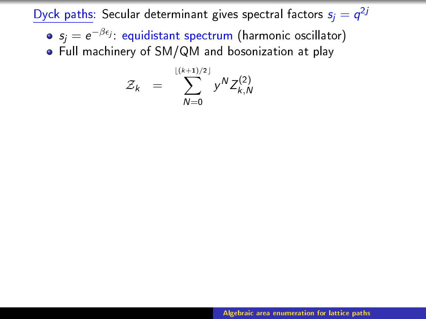Dyck paths: Secular determinant gives spectral factors  $s_j = q^{2j}$ 

 $\mathsf{s}_j = e^{-\beta \epsilon_j}$ : equidistant spectrum (harmonic oscillator) Full machinery of SM/QM and bosonization at play

$$
\mathcal{Z}_k = \sum_{N=0}^{\lfloor (k+1)/2 \rfloor} y^N Z_{k,N}^{(2)}
$$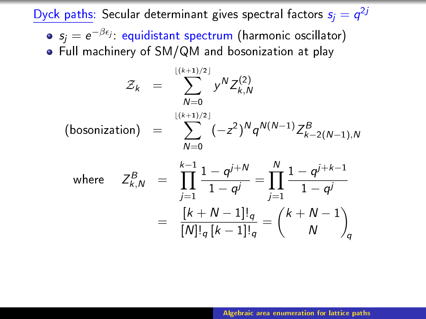Dyck paths: Secular determinant gives spectral factors  $s_j = q^{2j}$ 

 $\mathsf{s}_j = e^{-\beta \epsilon_j}$ : equidistant spectrum (harmonic oscillator) Full machinery of SM/QM and bosonization at play

$$
\mathcal{Z}_k = \sum_{N=0}^{\lfloor (k+1)/2 \rfloor} y^N Z_{k,N}^{(2)}
$$
\n(bosonization) = 
$$
\sum_{N=0}^{\lfloor (k+1)/2 \rfloor} (-z^2)^N q^{N(N-1)} Z_{k-2(N-1),N}^B
$$

where 
$$
Z_{k,N}^B = \prod_{j=1}^{k-1} \frac{1 - q^{j+N}}{1 - q^j} = \prod_{j=1}^N \frac{1 - q^{j+k-1}}{1 - q^j}
$$
  

$$
= \frac{[k+N-1]_q}{[N]_q [k-1]_q} = {k+N-1 \choose N}_q
$$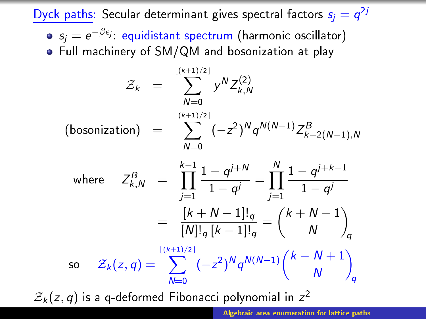Dyck paths: Secular determinant gives spectral factors  $s_j = q^{2j}$ 

 $\mathsf{s}_j = e^{-\beta \epsilon_j}$ : equidistant spectrum (harmonic oscillator) Full machinery of SM/QM and bosonization at play

$$
\mathcal{Z}_k = \sum_{N=0}^{\lfloor (k+1)/2 \rfloor} y^N Z_{k,N}^{(2)}
$$
\n(bosonization) = 
$$
\sum_{N=0}^{\lfloor (k+1)/2 \rfloor} (-z^2)^N q^{N(N-1)} Z_{k-2(N-1),N}^B
$$

where 
$$
Z_{k,N}^B = \prod_{j=1}^{k-1} \frac{1 - q^{j+N}}{1 - q^j} = \prod_{j=1}^N \frac{1 - q^{j+k-1}}{1 - q^j}
$$
  
\n
$$
= \frac{[k+N-1]!_q}{[N]!_q [k-1]!_q} = {k+N-1 \choose N}_q
$$
\nso  $Z_k(z,q) = \sum_{N=0}^{\lfloor (k+1)/2 \rfloor} (-z^2)^N q^{N(N-1)} {k - N + 1 \choose N}_q$ 

 $\mathcal{Z}_k(z,q)$  is a q-deformed Fibonacci polynomial in  $z^2$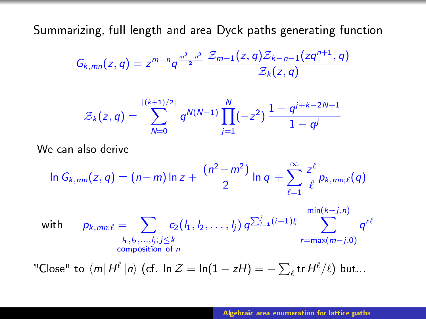Summarizing, full length and area Dyck paths generating function

$$
G_{k,mn}(z,q) = z^{m-n}q^{\frac{m^2-n^2}{2}} \frac{\mathcal{Z}_{m-1}(z,q)\mathcal{Z}_{k-n-1}(zq^{n+1},q)}{\mathcal{Z}_k(z,q)}
$$

$$
\mathcal{Z}_k(z,q) = \sum_{N=0}^{\lfloor (k+1)/2 \rfloor} q^{N(N-1)} \prod_{j=1}^N (-z^2) \frac{1 - q^{j+k-2N+1}}{1 - q^j}
$$

We can also derive

$$
\ln G_{k,mn}(z,q) = (n-m)\ln z + \frac{(n^2-m^2)}{2}\ln q + \sum_{\ell=1}^{\infty} \frac{z^{\ell}}{\ell} p_{k,mn;\ell}(q)
$$

with 
$$
p_{k,mn;\ell} = \sum_{\substack{h_1, h_2, \ldots, h_j; j \leq k \\ \text{composition of } n}} c_2(l_1, l_2, \ldots, l_j) q^{\sum_{i=1}^j (i-1)l_i} \sum_{r = max(m-j, 0)}^{min(k-j, n)} q^{r\ell}
$$

"Close" to  $\langle m| H^{\ell} | n \rangle$  (cf. ln  $\mathcal{Z} = \ln(1 - zH) = -\sum_{\ell} \text{tr } H^{\ell} / \ell$ ) but...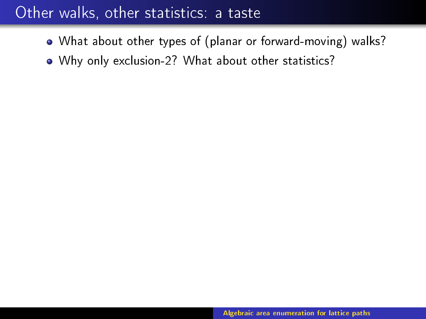# Other walks, other statistics: a taste

- What about other types of (planar or forward-moving) walks?
- Why only exclusion-2? What about other statistics?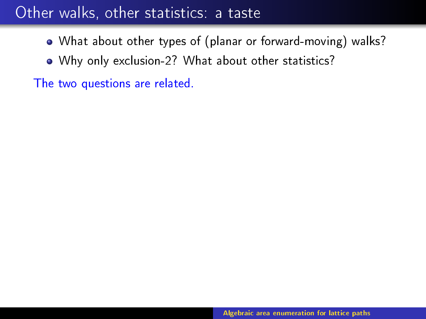# Other walks, other statistics: a taste

- What about other types of (planar or forward-moving) walks?
- Why only exclusion-2? What about other statistics?

The two questions are related.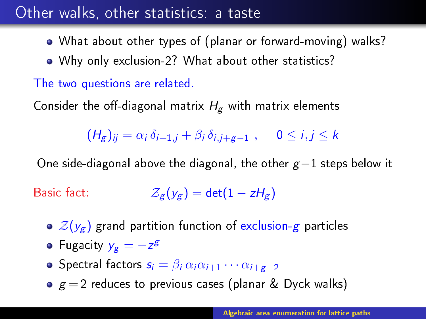# Other walks, other statistics: a taste

- What about other types of (planar or forward-moving) walks?
- Why only exclusion-2? What about other statistics?

## The two questions are related.

Consider the off-diagonal matrix  $H_g$  with matrix elements

 $(H_{\sigma})_{ii} = \alpha_i \delta_{i+1,i} + \beta_i \delta_{i,i+\sigma-1}$ ,  $0 \le i, j \le k$ 

One side-diagonal above the diagonal, the other  $g-1$  steps below it

Basic fact:  $\mathcal{Z}_{g}(y_g) = \det(1 - zH_g)$ 

- $\in \mathcal{Z}(y_g)$  grand partition function of exclusion-g particles
- Fugacity  $y_g = -z^g$
- Spectral factors  $s_i = \beta_i \alpha_i \alpha_{i+1} \cdots \alpha_{i+g-2}$
- $g = 2$  reduces to previous cases (planar & Dyck walks)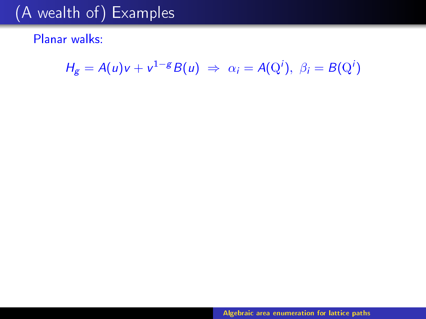Planar walks:

$$
H_g = A(u)v + v^{1-g}B(u) \Rightarrow \alpha_i = A(Q^i), \ \beta_i = B(Q^i)
$$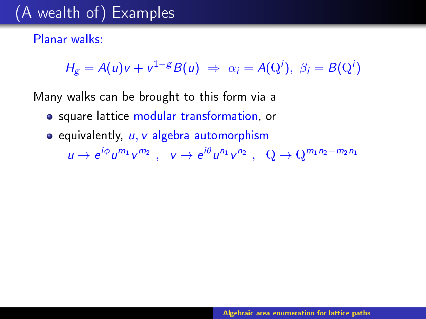## Planar walks:

 $H_g = A(u)v + v^{1-g}B(u) \Rightarrow \alpha_i = A(Q^i), \ \beta_i = B(Q^i)$ 

Many walks can be brought to this form via a

- **•** square lattice modular transformation, or
- $\bullet$  equivalently,  $u, v$  algebra automorphism

 $u \to e^{i\phi} u^{m_1} v^{m_2}$ ,  $v \to e^{i\theta} u^{n_1} v^{n_2}$ ,  $Q \to Q^{m_1 n_2 - m_2 n_1}$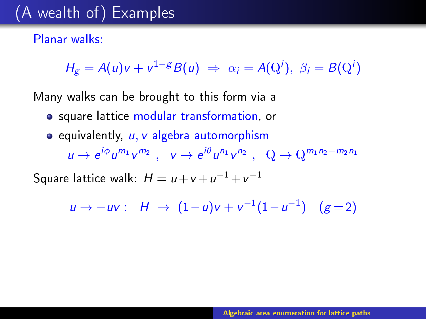### Planar walks:

 $H_g = A(u)v + v^{1-g}B(u) \Rightarrow \alpha_i = A(Q^i), \ \beta_i = B(Q^i)$ 

Many walks can be brought to this form via a

- **•** square lattice modular transformation, or
- $\bullet$  equivalently,  $u, v$  algebra automorphism

 $u \to e^{i\phi} u^{m_1} v^{m_2}$ ,  $v \to e^{i\theta} u^{n_1} v^{n_2}$ ,  $Q \to Q^{m_1 n_2 - m_2 n_1}$ 

Square lattice walk:  $H = u + v + u^{-1} + v^{-1}$ 

 $u \to -uv : H \to (1-u)v + v^{-1}(1-u^{-1}) \quad (g=2)$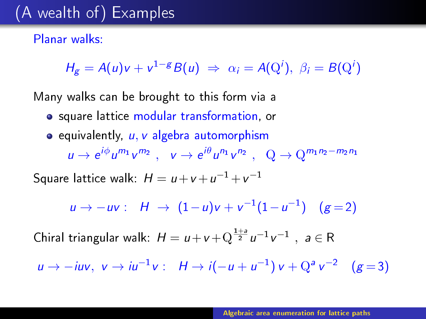### Planar walks:

 $H_g = A(u)v + v^{1-g}B(u) \Rightarrow \alpha_i = A(Q^i), \ \beta_i = B(Q^i)$ 

Many walks can be brought to this form via a

- **•** square lattice modular transformation, or
- $\bullet$  equivalently,  $u, v$  algebra automorphism  $u \to e^{i\phi} u^{m_1} v^{m_2}$ ,  $v \to e^{i\theta} u^{n_1} v^{n_2}$ ,  $Q \to Q^{m_1 n_2 - m_2 n_1}$

Square lattice walk:  $H = u + v + u^{-1} + v^{-1}$ 

$$
u \to -uv: \quad H \to (1-u)v + v^{-1}(1-u^{-1}) \quad (g=2)
$$

Chiral triangular walk:  $H = u + v + Q^{\frac{1+a}{2}} u^{-1} v^{-1}$ ,  $a \in R$ 

 $u \to -iuv$ ,  $v \to iu^{-1}v$ :  $H \to i(-u + u^{-1})v + Q^a v^{-2}$  (g = 3)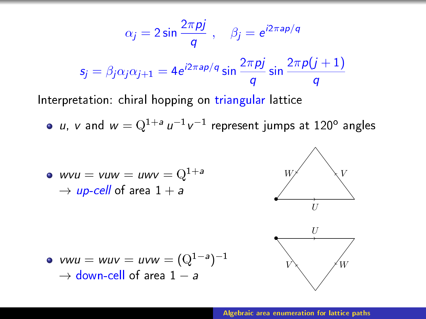$$
\alpha_j = 2 \sin \frac{2\pi p j}{q} , \quad \beta_j = e^{i2\pi ap/q}
$$

$$
\mathsf{s}_j = \beta_j \alpha_j \alpha_{j+1} = 4 e^{i2\pi ap/q} \sin \frac{2\pi p j}{q} \sin \frac{2\pi p (j+1)}{q}
$$

Interpretation: chiral hopping on triangular lattice

 $u$ ,  $v$  and  $w = \mathrm{Q}^{1+a}\,u^{-1}\,v^{-1}$  represent jumps at  $120^{\circ}$  angles

• 
$$
wvu = vuw = uwv = Q^{1+a}
$$
  
\n $\rightarrow up-cell$  of area  $1 + a$ 





• 
$$
vwu = wuv = uvw = (Q^{1-a})^{-1}
$$
  
\n $\rightarrow$  down-cell of area 1 - a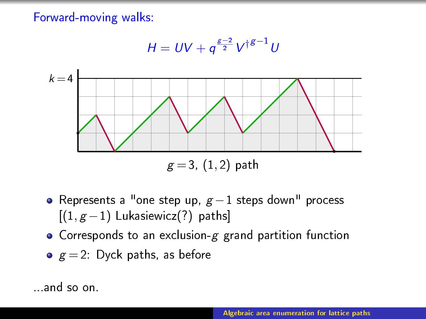Forward-moving walks:

$$
H = UV + q^{\frac{g-2}{2}}V^{\dagger g-1}U
$$



- Represents a "one step up,  $g-1$  steps down" process  $[(1, g-1)$  Lukasiewicz $(?)$  paths]
- Corresponds to an exclusion-g grand partition function

• 
$$
g = 2
$$
: Dyck paths, as before

...and so on.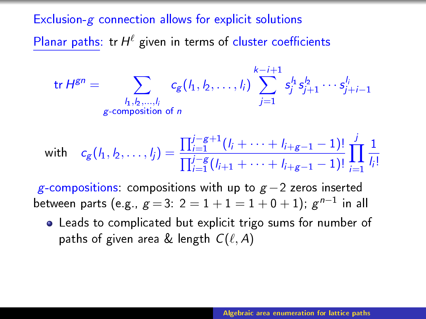## Exclusion- $g$  connection allows for explicit solutions

Planar paths: tr $H^{\ell}$  given in terms of cluster coefficients

$$
\text{tr } H^{gn} = \sum_{\substack{l_1, l_2, \dots, l_i \\ g \text{-composition of } n}} c_g(l_1, l_2, \dots, l_i) \sum_{j=1}^{k-i+1} s_j^{l_1} s_{j+1}^{l_2} \cdots s_{j+i-1}^{l_i}
$$

with 
$$
c_g(I_1, I_2, \ldots, I_j) = \frac{\prod_{i=1}^{j-g+1} (I_i + \cdots + I_{i+g-1} - 1)!}{\prod_{i=1}^{j-g} (I_{i+1} + \cdots + I_{i+g-1} - 1)!} \prod_{i=1}^{j} \frac{1}{I_i!}
$$

g-compositions: compositions with up to  $g-2$  zeros inserted between parts (e.g.,  $g\!=\!3\!:\,2=1+1=1+0+1);$   $g^{n-1}$  in all

Leads to complicated but explicit trigo sums for number of paths of given area & length  $C(\ell, A)$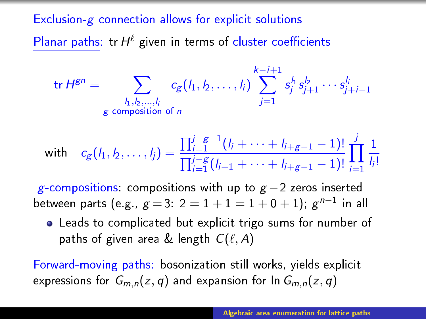## Exclusion- $g$  connection allows for explicit solutions

Planar paths: tr $H^{\ell}$  given in terms of cluster coefficients

$$
\text{tr } H^{gn} = \sum_{\substack{l_1, l_2, \dots, l_i \\ g \text{-composition of } n}} c_g(l_1, l_2, \dots, l_i) \sum_{j=1}^{k-i+1} s_j^{l_1} s_{j+1}^{l_2} \cdots s_{j+i-1}^{l_i}
$$

with 
$$
c_g(I_1, I_2, \ldots, I_j) = \frac{\prod_{i=1}^{j-g+1} (I_i + \cdots + I_{i+g-1} - 1)!}{\prod_{i=1}^{j-g} (I_{i+1} + \cdots + I_{i+g-1} - 1)!} \prod_{i=1}^{j} \frac{1}{I_i!}
$$

g-compositions: compositions with up to  $g-2$  zeros inserted between parts (e.g.,  $g\!=\!3\!:\,2=1+1=1+0+1);$   $g^{n-1}$  in all

Leads to complicated but explicit trigo sums for number of paths of given area & length  $C(\ell, A)$ 

Forward-moving paths: bosonization still works, yields explicit expressions for  $G_{m,n}(z,q)$  and expansion for  $\ln G_{m,n}(z,q)$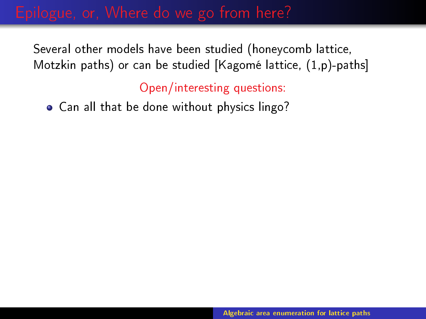Open/interesting questions:

Can all that be done without physics lingo?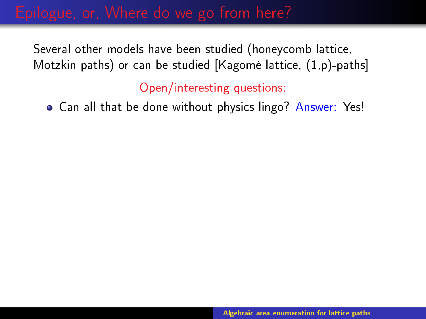Open/interesting questions:

**• Can all that be done without physics lingo? Answer: Yes!**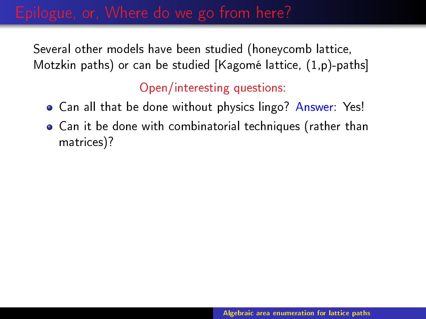- **Can all that be done without physics lingo? Answer: Yes!**
- Can it be done with combinatorial techniques (rather than matrices)?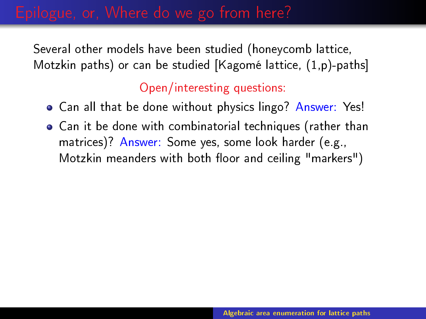- Can all that be done without physics lingo? Answer: Yes!
- Can it be done with combinatorial techniques (rather than matrices)? Answer: Some yes, some look harder (e.g., Motzkin meanders with both floor and ceiling "markers")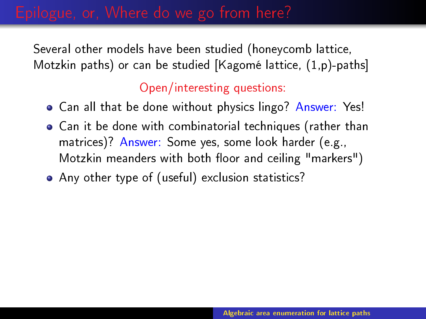- Can all that be done without physics lingo? Answer: Yes!
- Can it be done with combinatorial techniques (rather than matrices)? Answer: Some yes, some look harder (e.g., Motzkin meanders with both floor and ceiling "markers")
- Any other type of (useful) exclusion statistics?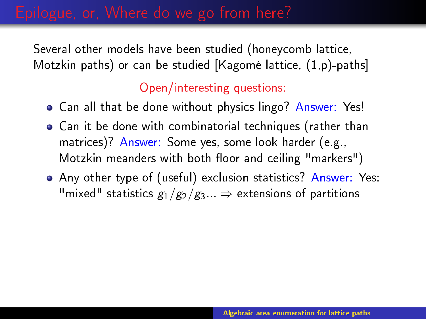- Can all that be done without physics lingo? Answer: Yes!
- Can it be done with combinatorial techniques (rather than matrices)? Answer: Some yes, some look harder (e.g., Motzkin meanders with both floor and ceiling "markers")
- Any other type of (useful) exclusion statistics? Answer: Yes: "mixed" statistics  $g_1/g_2/g_3...\Rightarrow$  extensions of partitions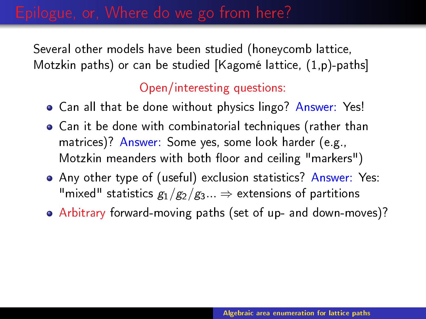- Can all that be done without physics lingo? Answer: Yes!
- Can it be done with combinatorial techniques (rather than matrices)? Answer: Some yes, some look harder (e.g., Motzkin meanders with both floor and ceiling "markers")
- Any other type of (useful) exclusion statistics? Answer: Yes: "mixed" statistics  $g_1/g_2/g_3...\Rightarrow$  extensions of partitions
- Arbitrary forward-moving paths (set of up- and down-moves)?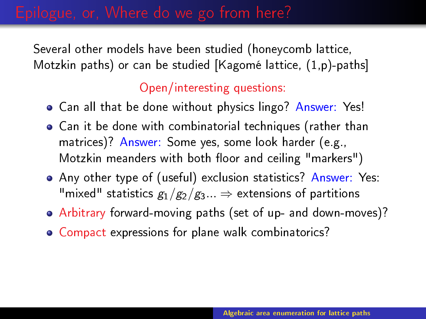- **Can all that be done without physics lingo? Answer: Yes!**
- Can it be done with combinatorial techniques (rather than matrices)? Answer: Some yes, some look harder (e.g., Motzkin meanders with both floor and ceiling "markers")
- Any other type of (useful) exclusion statistics? Answer: Yes: "mixed" statistics  $g_1/g_2/g_3...\Rightarrow$  extensions of partitions
- Arbitrary forward-moving paths (set of up- and down-moves)?
- Compact expressions for plane walk combinatorics?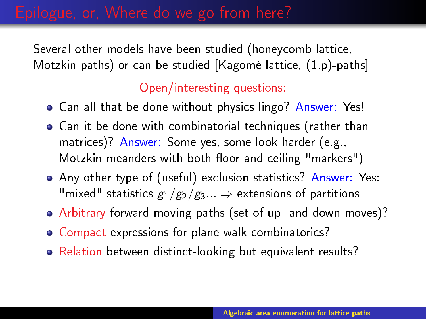- **Can all that be done without physics lingo? Answer: Yes!**
- Can it be done with combinatorial techniques (rather than matrices)? Answer: Some yes, some look harder (e.g., Motzkin meanders with both floor and ceiling "markers")
- Any other type of (useful) exclusion statistics? Answer: Yes: "mixed" statistics  $g_1/g_2/g_3...\Rightarrow$  extensions of partitions
- Arbitrary forward-moving paths (set of up- and down-moves)?
- Compact expressions for plane walk combinatorics?
- Relation between distinct-looking but equivalent results?